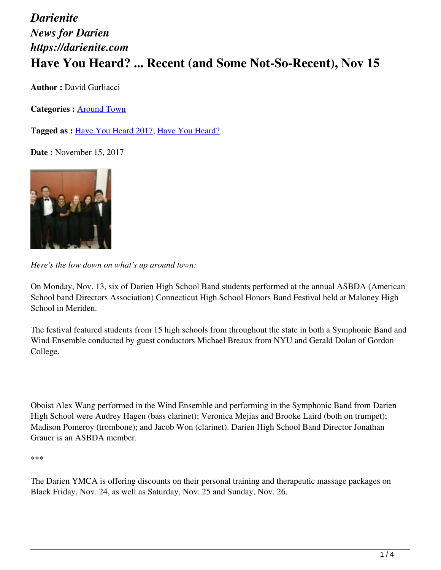## *Darienite News for Darien https://darienite.com* **Have You Heard? ... Recent (and Some Not-So-Recent), Nov 15**

**Author :** David Gurliacci

**Categories :** [Around Town](https://darienite.com/category/news/around-town)

**Tagged as :** Have You Heard 2017, Have You Heard?

**Date :** November 15, 2017



*Here's the low down on what's up around town:*

On Monday, Nov. 13, six of Darien High School Band students performed at the annual ASBDA (American School band Directors Association) Connecticut High School Honors Band Festival held at Maloney High School in Meriden.

The festival featured students from 15 high schools from throughout the state in both a Symphonic Band and Wind Ensemble conducted by guest conductors Michael Breaux from NYU and Gerald Dolan of Gordon College.

Oboist Alex Wang performed in the Wind Ensemble and performing in the Symphonic Band from Darien High School were Audrey Hagen (bass clarinet); Veronica Mejias and Brooke Laird (both on trumpet); Madison Pomeroy (trombone); and Jacob Won (clarinet). Darien High School Band Director Jonathan Grauer is an ASBDA member.

\*\*\*

The Darien YMCA is offering discounts on their personal training and therapeutic massage packages on Black Friday, Nov. 24, as well as Saturday, Nov. 25 and Sunday, Nov. 26.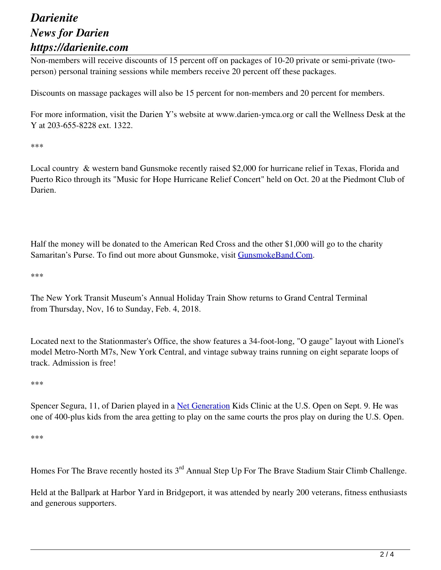## *Darienite News for Darien https://darienite.com*

Non-members will receive discounts of 15 percent off on packages of 10-20 private or semi-private (twoperson) personal training sessions while members receive 20 percent off these packages.

Discounts on massage packages will also be 15 percent for non-members and 20 percent for members.

For more information, visit the Darien Y's website at www.darien-ymca.org or call the Wellness Desk at the Y at 203-655-8228 ext. 1322.

\*\*\*

Local country & western band Gunsmoke recently raised \$2,000 for hurricane relief in Texas, Florida and Puerto Rico through its "Music for Hope Hurricane Relief Concert" held on Oct. 20 at the Piedmont Club of Darien.

Half the money will be donated to the American Red Cross and the other \$1,000 will go to the charity Samaritan's Purse. To find out more about Gunsmoke, visit GunsmokeBand.Com.

\*\*\*

The New York Transit Museum's Annual Holiday Train Show returns to Grand Central Terminal from Thursday, Nov, 16 to Sunday, Feb. 4, 2018.

Located next to the Stationmaster's Office, the show features a 34-foot-long, "O gauge" layout with Lionel's model Metro-North M7s, New York Central, and vintage subway trains running on eight separate loops of track. Admission is free!

\*\*\*

Spencer Segura, 11, of Darien played in a <u>Net Generation</u> Kids Clinic at the U.S. Open on Sept. 9. He was one of 400-plus kids from the area getting to play on the same courts the pros play on during the U.S. Open.

\*\*\*

Homes For The Brave recently hosted its 3<sup>rd</sup> Annual Step Up For The Brave Stadium Stair Climb Challenge.

Held at the Ballpark at Harbor Yard in Bridgeport, it was attended by nearly 200 veterans, fitness enthusiasts and generous supporters.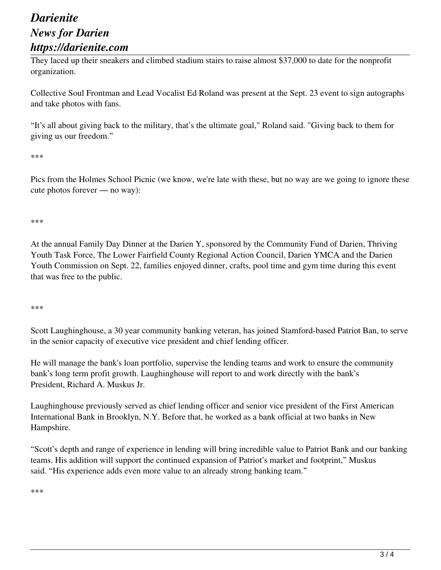## *Darienite News for Darien https://darienite.com*

They laced up their sneakers and climbed stadium stairs to raise almost \$37,000 to date for the nonprofit organization.

Collective Soul Frontman and Lead Vocalist Ed Roland was present at the Sept. 23 event to sign autographs and take photos with fans.

"It's all about giving back to the military, that's the ultimate goal," Roland said. "Giving back to them for giving us our freedom."

\*\*\*

Pics from the Holmes School Picnic (we know, we're late with these, but no way are we going to ignore these cute photos forever — no way):

\*\*\*

At the annual Family Day Dinner at the Darien Y, sponsored by the Community Fund of Darien, Thriving Youth Task Force, The Lower Fairfield County Regional Action Council, Darien YMCA and the Darien Youth Commission on Sept. 22, families enjoyed dinner, crafts, pool time and gym time during this event that was free to the public.

\*\*\*

Scott Laughinghouse, a 30 year community banking veteran, has joined Stamford-based Patriot Ban, to serve in the senior capacity of executive vice president and chief lending officer.

He will manage the bank's loan portfolio, supervise the lending teams and work to ensure the community bank's long term profit growth. Laughinghouse will report to and work directly with the bank's President, Richard A. Muskus Jr.

Laughinghouse previously served as chief lending officer and senior vice president of the First American International Bank in Brooklyn, N.Y. Before that, he worked as a bank official at two banks in New Hampshire.

"Scott's depth and range of experience in lending will bring incredible value to Patriot Bank and our banking teams. His addition will support the continued expansion of Patriot's market and footprint," Muskus said. "His experience adds even more value to an already strong banking team."

\*\*\*